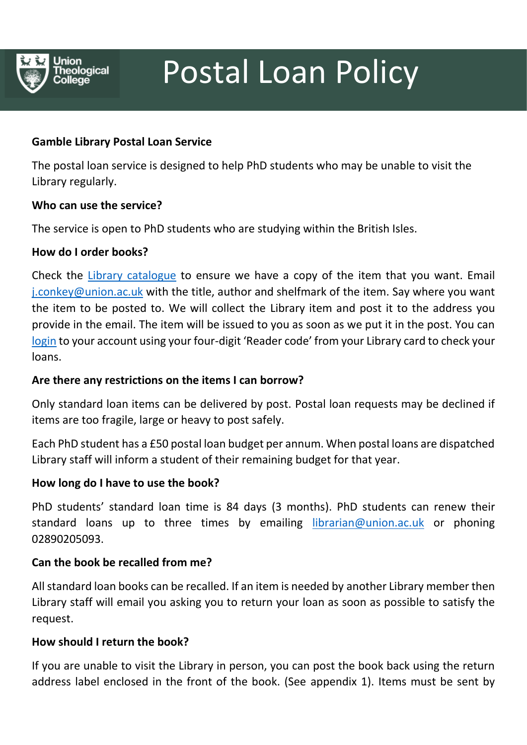

# Postal Loan Policy

# **Gamble Library Postal Loan Service**

The postal loan service is designed to help PhD students who may be unable to visit the Library regularly.

## **Who can use the service?**

The service is open to PhD students who are studying within the British Isles.

## **How do I order books?**

Check the [Library catalogue](http://libcat.union.ac.uk/HeritageScripts/Hapi.dll/search1) to ensure we have a copy of the item that you want. Email [j.conkey@union.ac.uk](mailto:j.conkey@union.ac.uk) with the title, author and shelfmark of the item. Say where you want the item to be posted to. We will collect the Library item and post it to the address you provide in the email. The item will be issued to you as soon as we put it in the post. You can [login](http://libcat.union.ac.uk/HeritageScripts/Hapi.dll/search1) to your account using your four-digit 'Reader code' from your Library card to check your loans.

#### **Are there any restrictions on the items I can borrow?**

Only standard loan items can be delivered by post. Postal loan requests may be declined if items are too fragile, large or heavy to post safely.

Each PhD student has a £50 postal loan budget per annum. When postal loans are dispatched Library staff will inform a student of their remaining budget for that year.

#### **How long do I have to use the book?**

PhD students' standard loan time is 84 days (3 months). PhD students can renew their standard loans up to three times by emailing [librarian@union.ac.uk](mailto:librarian@union.ac.uk) or phoning 02890205093.

#### **Can the book be recalled from me?**

All standard loan books can be recalled. If an item is needed by another Library member then Library staff will email you asking you to return your loan as soon as possible to satisfy the request.

#### **How should I return the book?**

If you are unable to visit the Library in person, you can post the book back using the return address label enclosed in the front of the book. (See appendix 1). Items must be sent by